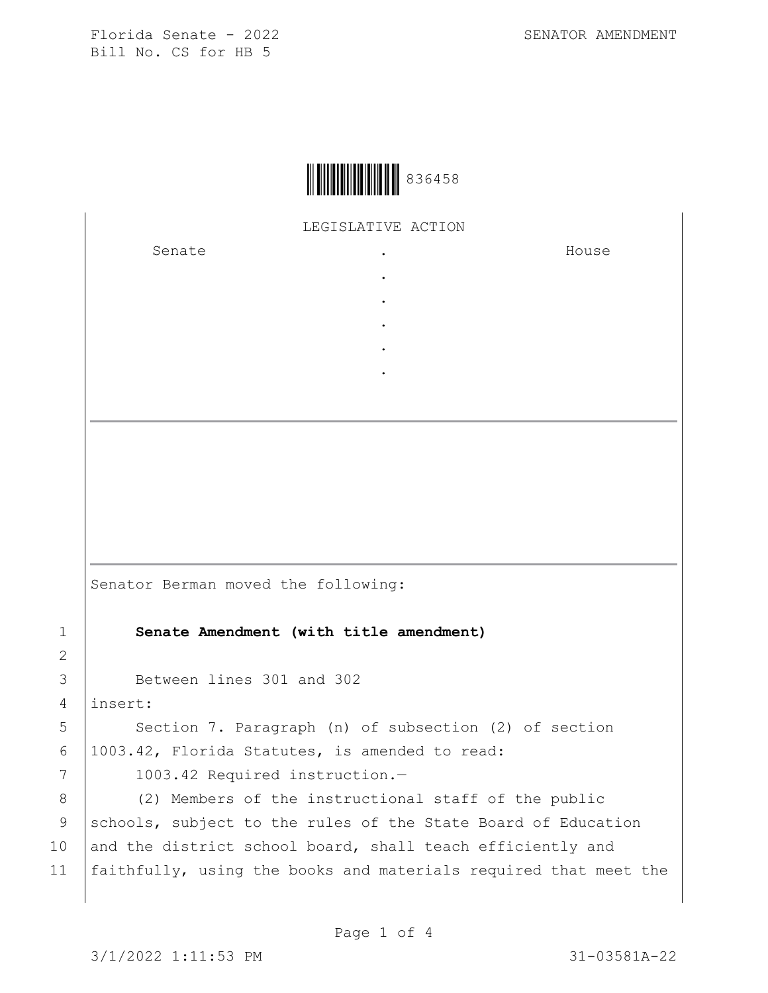

LEGISLATIVE ACTION

. . . . .

Senate .

House

Senator Berman moved the following: 1 **Senate Amendment (with title amendment)** 3 Between lines 301 and 302 4 insert: 5 | Section 7. Paragraph (n) of subsection (2) of section 6 1003.42, Florida Statutes, is amended to read: 7 | 1003.42 Required instruction.-8 (2) Members of the instructional staff of the public 9 schools, subject to the rules of the State Board of Education

10 and the district school board, shall teach efficiently and 11 faithfully, using the books and materials required that meet the

2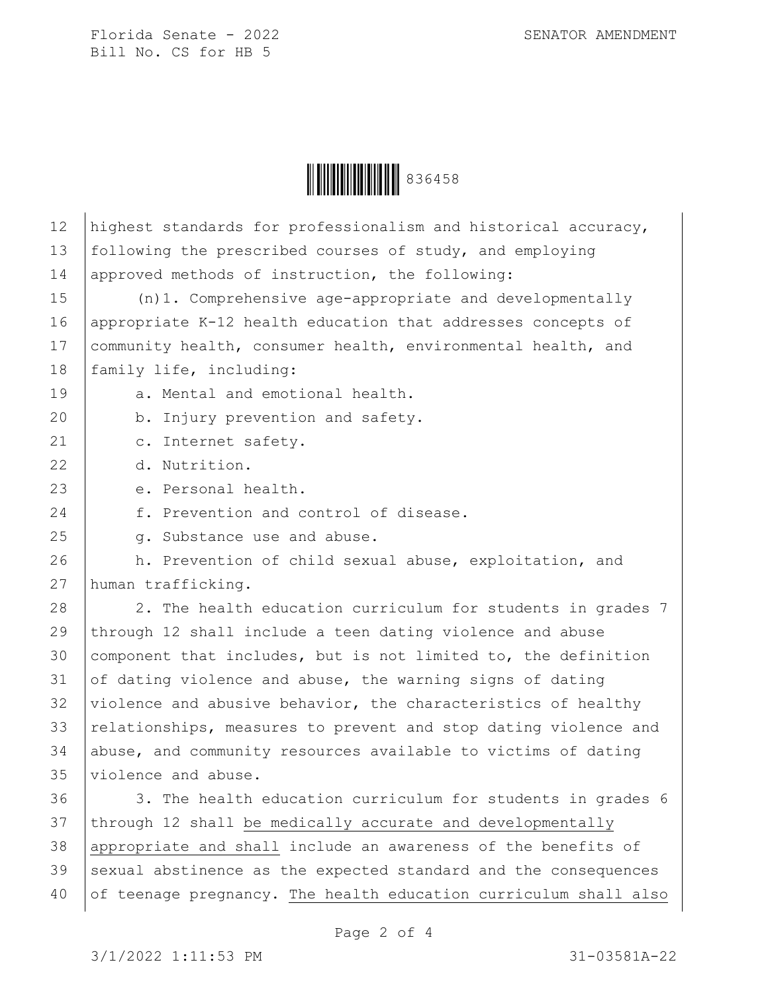

| 12 | highest standards for professionalism and historical accuracy,   |
|----|------------------------------------------------------------------|
| 13 | following the prescribed courses of study, and employing         |
| 14 | approved methods of instruction, the following:                  |
| 15 | $(n) 1.$ Comprehensive age-appropriate and developmentally       |
| 16 | appropriate K-12 health education that addresses concepts of     |
| 17 | community health, consumer health, environmental health, and     |
| 18 | family life, including:                                          |
| 19 | a. Mental and emotional health.                                  |
| 20 | b. Injury prevention and safety.                                 |
| 21 | c. Internet safety.                                              |
| 22 | d. Nutrition.                                                    |
| 23 | e. Personal health.                                              |
| 24 | f. Prevention and control of disease.                            |
| 25 | q. Substance use and abuse.                                      |
| 26 | h. Prevention of child sexual abuse, exploitation, and           |
| 27 | human trafficking.                                               |
| 28 | 2. The health education curriculum for students in grades 7      |
| 29 | through 12 shall include a teen dating violence and abuse        |
| 30 | component that includes, but is not limited to, the definition   |
| 31 | of dating violence and abuse, the warning signs of dating        |
| 32 | violence and abusive behavior, the characteristics of healthy    |
| 33 | relationships, measures to prevent and stop dating violence and  |
| 34 | abuse, and community resources available to victims of dating    |
| 35 | violence and abuse.                                              |
| 36 | 3. The health education curriculum for students in grades 6      |
| 37 | through 12 shall be medically accurate and developmentally       |
| 38 | appropriate and shall include an awareness of the benefits of    |
| 39 | sexual abstinence as the expected standard and the consequences  |
| 40 | of teenage pregnancy. The health education curriculum shall also |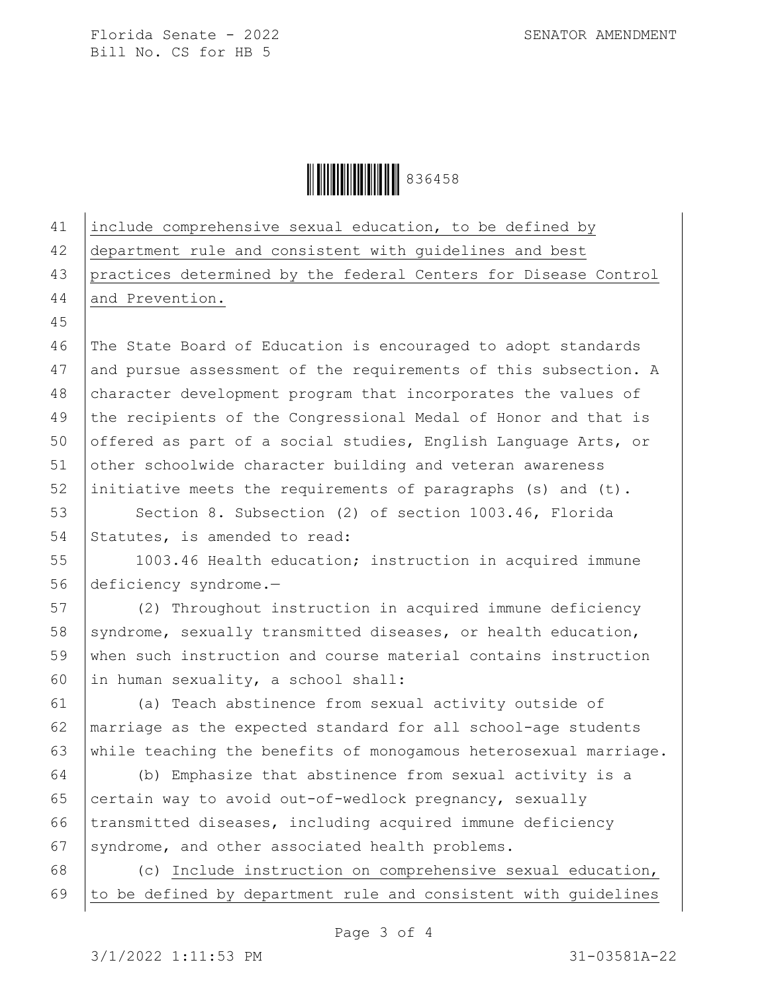Ì836458NÎ836458

41 include comprehensive sexual education, to be defined by 42 department rule and consistent with guidelines and best 43 practices determined by the federal Centers for Disease Control 44 and Prevention. 45 46 The State Board of Education is encouraged to adopt standards 47 and pursue assessment of the requirements of this subsection. A 48 character development program that incorporates the values of 49 the recipients of the Congressional Medal of Honor and that is 50 offered as part of a social studies, English Language Arts, or 51 other schoolwide character building and veteran awareness 52 initiative meets the requirements of paragraphs (s) and (t). 53 Section 8. Subsection (2) of section 1003.46, Florida 54 Statutes, is amended to read: 55 1003.46 Health education; instruction in acquired immune 56 deficiency syndrome.— 57 (2) Throughout instruction in acquired immune deficiency 58 syndrome, sexually transmitted diseases, or health education, 59 when such instruction and course material contains instruction 60 in human sexuality, a school shall: 61 (a) Teach abstinence from sexual activity outside of 62 marriage as the expected standard for all school-age students 63 | while teaching the benefits of monogamous heterosexual marriage. 64 (b) Emphasize that abstinence from sexual activity is a 65 certain way to avoid out-of-wedlock pregnancy, sexually 66 | transmitted diseases, including acquired immune deficiency 67 syndrome, and other associated health problems. 68 (c) Include instruction on comprehensive sexual education,  $69$  to be defined by department rule and consistent with guidelines